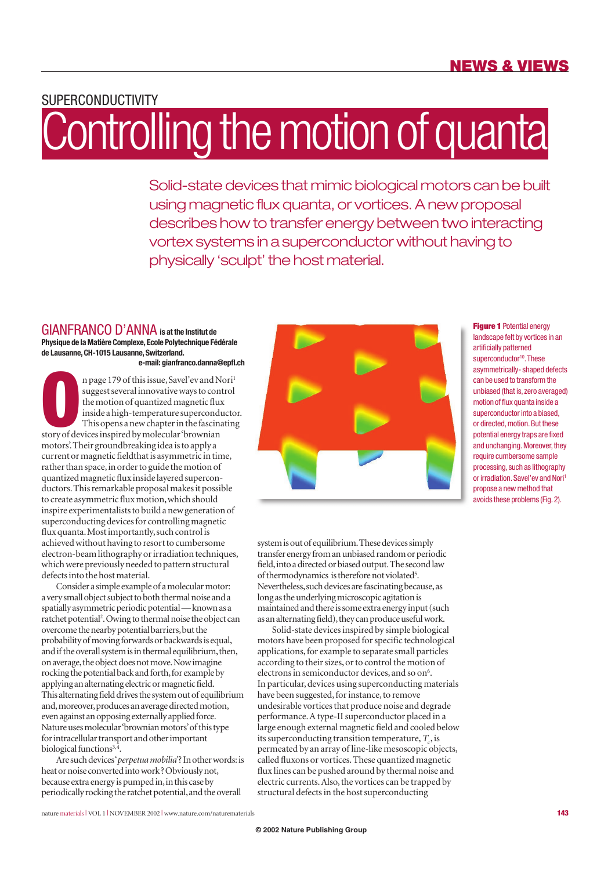## SUPERCONDUCTIVITY Controlling the motion of quantal

Solid-state devices that mimic biological motors can be built using magnetic flux quanta, or vortices. A new proposal describes how to transfer energy between two interacting vortex systems in a superconductor without having to physically 'sculpt' the host material.

## GIANFRANCO D'ANNA **is at the Institut de Physique de la Matière Complexe,Ecole Polytechnique Fédérale de Lausanne,CH-1015 Lausanne,Switzerland. e-mail: gianfranco.danna@epfl.ch**

**OPER 179 of this issue, Savel'ev and Nori<sup>1</sup><br>suggest several innovative ways to control<br>the motion of quantized magnetic flux<br>inside a high-temperature superconductor<br>This opens a new chapter in the fascinatin<br>story of d** suggest several innovative ways to control the motion of quantized magnetic flux inside a high-temperature superconductor. This opens a new chapter in the fascinating motors'.Their groundbreaking idea is to apply a current or magnetic fieldthat is asymmetric in time, rather than space,in order to guide the motion of quantized magnetic flux inside layered superconductors.This remarkable proposal makes it possible to create asymmetric flux motion,which should inspire experimentalists to build a new generation of superconducting devices for controlling magnetic flux quanta. Most importantly, such control is achieved without having to resort to cumbersome electron-beam lithography or irradiation techniques, which were previously needed to pattern structural defects into the host material.

Consider a simple example of a molecular motor: a very small object subject to both thermal noise and a spatially asymmetric periodic potential — known as a ratchet potential<sup>2</sup>. Owing to thermal noise the object can overcome the nearby potential barriers,but the probability of moving forwards or backwards is equal, and if the overall system is in thermal equilibrium, then, on average,the object does not move.Now imagine rocking the potential back and forth, for example by applying an alternating electric or magnetic field. This alternating field drives the system out of equilibrium and, moreover, produces an average directed motion, even against an opposing externally applied force. Nature uses molecular 'brownian motors'of this type for intracellular transport and other important biological functions $3,4$ .

Are such devices '*perpetua mobilia*'? In other words:is heat or noise converted into work ? Obviously not, because extra energy is pumped in, in this case by periodically rocking the ratchet potential,and the overall



system is out of equilibrium.These devices simply transfer energy from an unbiased random or periodic field, into a directed or biased output. The second law of thermodynamics is therefore not violated<sup>5</sup>. Nevertheless, such devices are fascinating because, as long as the underlying microscopic agitation is maintained and there is some extra energy input (such as an alternating field), they can produce useful work.

Solid-state devices inspired by simple biological motors have been proposed for specific technological applications, for example to separate small particles according to their sizes, or to control the motion of electrons in semiconductor devices, and so on<sup>6</sup>. In particular, devices using superconducting materials have been suggested, for instance, to remove undesirable vortices that produce noise and degrade performance.A type-II superconductor placed in a large enough external magnetic field and cooled below its superconducting transition temperature,  $T_c$ , is permeated by an array of line-like mesoscopic objects, called fluxons or vortices. These quantized magnetic flux lines can be pushed around by thermal noise and electric currents.Also, the vortices can be trapped by structural defects in the host superconducting

**Figure 1** Potential energy landscape felt by vortices in an artificially patterned superconductor<sup>10</sup>. These asymmetrically- shaped defects can be used to transform the unbiased (that is,zero averaged) motion of flux quanta inside a superconductor into a biased, or directed, motion. But these potential energy traps are fixed and unchanging. Moreover, they require cumbersome sample processing, such as lithography or irradiation. Savel'ev and Nori<sup>1</sup> propose a new method that avoids these problems (Fig.2).